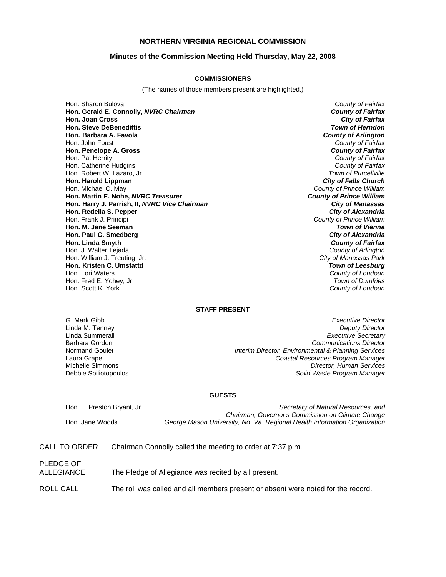# **NORTHERN VIRGINIA REGIONAL COMMISSION**

### **Minutes of the Commission Meeting Held Thursday, May 22, 2008**

#### **COMMISSIONERS**

(The names of those members present are highlighted.)

Hon. Sharon Bulova *County of Fairfax* **Hon. Gerald E. Connolly,** *NVRC Chairman County of Fairfax* **Hon. Joan Cross Hon. Steve DeBenedittis** *Town of Herndon* **Hon. Barbara A. Favola** *County of Arlington* Hon. John Foust *County of Fairfax* **Hon. Penelope A. Gross** *County of Fairfax* Hon. Pat Herrity *County of Fairfax* Hon. Catherine Hudgins *County of Fairfax* Hon. Robert W. Lazaro, Jr. *Town of Purcellville* **Hon. Harold Lippman** Hon. Michael C. May *County of Prince William* **Hon. Martin E. Nohe,** *NVRC Treasurer* **Hon. Harry J. Parrish, II,** *NVRC Vice Chairman City of Manassas* **Hon. Redella S. Pepper** *City of Alexandria* Hon. Frank J. Principi *County of Prince William* **Hon. M. Jane Seeman** *Town of Vienna* **Hon. Paul C. Smedberg** *City of Alexandria* **Hon. Linda Smyth** *County of Fairfax* Hon. J. Walter Tejada *County of Arlington* Hon. William J. Treuting, Jr. *City of Manassas Park* **Hon. Kristen C. Umstattd** *Town of Leesburg* Hon. Lori Waters *County of Loudoun* Hon. Fred E. Yohey, Jr.

Hon. Scott K. York *County of Loudoun*

## **STAFF PRESENT**

G. Mark Gibb *Executive Director* **Deputy Director** Linda Summerall *Executive Secretary* Barbara Gordon *Communications Director* Normand Goulet *Interim Director, Environmental & Planning Services* Laura Grape *Coastal Resources Program Manager* **Director, Human Services** Debbie Spiliotopoulos *Solid Waste Program Manager* 

#### **GUESTS**

Hon. L. Preston Bryant, Jr. *Secretary of Natural Resources, and Chairman, Governor's Commission on Climate Change* Hon. Jane Woods *George Mason University, No. Va. Regional Health Information Organization*

- CALL TO ORDER Chairman Connolly called the meeting to order at 7:37 p.m.
- PLEDGE OF ALLEGIANCE The Pledge of Allegiance was recited by all present.
- ROLL CALL The roll was called and all members present or absent were noted for the record.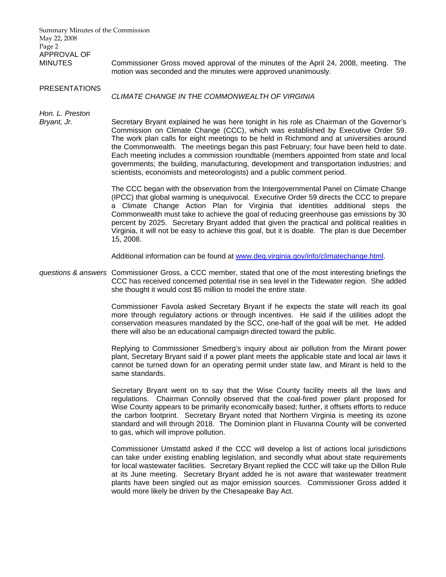Summary Minutes of the Commission May 22, 2008 Page 2 APPROVAL OF MINUTES Commissioner Gross moved approval of the minutes of the April 24, 2008, meeting. The motion was seconded and the minutes were approved unanimously. PRESENTATIONS *CLIMATE CHANGE IN THE COMMONWEALTH OF VIRGINIA Hon. L. Preston Bryant, Jr.* Secretary Bryant explained he was here tonight in his role as Chairman of the Governor's Commission on Climate Change (CCC), which was established by Executive Order 59. The work plan calls for eight meetings to be held in Richmond and at universities around the Commonwealth. The meetings began this past February; four have been held to date. Each meeting includes a commission roundtable (members appointed from state and local governments; the building, manufacturing, development and transportation industries; and scientists, economists and meteorologists) and a public comment period. The CCC began with the observation from the Intergovernmental Panel on Climate Change (IPCC) that global warming is unequivocal. Executive Order 59 directs the CCC to prepare a Climate Change Action Plan for Virginia that identities additional steps the Commonwealth must take to achieve the goal of reducing greenhouse gas emissions by 30 percent by 2025. Secretary Bryant added that given the practical and political realities in Virginia, it will not be easy to achieve this goal, but it is doable. The plan is due December 15, 2008. Additional information can be found at [www.deq.virginia.gov/info/climatechange.html.](http://www.deq.virginia.gov/info/climatechange.html) *questions & answers* Commissioner Gross, a CCC member, stated that one of the most interesting briefings the CCC has received concerned potential rise in sea level in the Tidewater region. She added she thought it would cost \$5 million to model the entire state. Commissioner Favola asked Secretary Bryant if he expects the state will reach its goal more through regulatory actions or through incentives. He said if the utilities adopt the conservation measures mandated by the SCC, one-half of the goal will be met. He added there will also be an educational campaign directed toward the public. Replying to Commissioner Smedberg's inquiry about air pollution from the Mirant power plant, Secretary Bryant said if a power plant meets the applicable state and local air laws it cannot be turned down for an operating permit under state law, and Mirant is held to the same standards. Secretary Bryant went on to say that the Wise County facility meets all the laws and regulations. Chairman Connolly observed that the coal-fired power plant proposed for Wise County appears to be primarily economically based; further, it offsets efforts to reduce the carbon footprint. Secretary Bryant noted that Northern Virginia is meeting its ozone standard and will through 2018. The Dominion plant in Fluvanna County will be converted to gas, which will improve pollution. Commissioner Umstattd asked if the CCC will develop a list of actions local jurisdictions can take under existing enabling legislation, and secondly what about state requirements for local wastewater facilities. Secretary Bryant replied the CCC will take up the Dillon Rule at its June meeting. Secretary Bryant added he is not aware that wastewater treatment plants have been singled out as major emission sources. Commissioner Gross added it would more likely be driven by the Chesapeake Bay Act.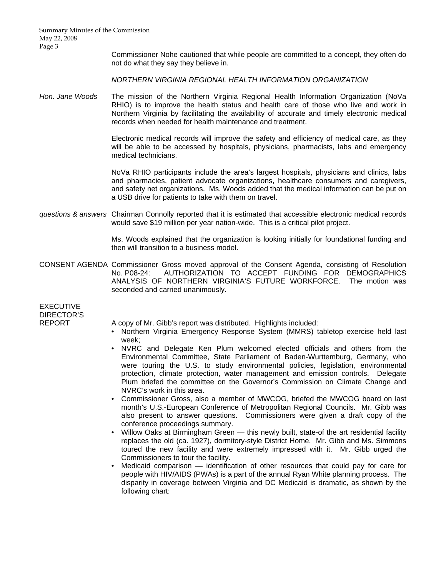Summary Minutes of the Commission May 22, 2008 Page 3

> Commissioner Nohe cautioned that while people are committed to a concept, they often do not do what they say they believe in.

*NORTHERN VIRGINIA REGIONAL HEALTH INFORMATION ORGANIZATION* 

*Hon. Jane Woods* The mission of the Northern Virginia Regional Health Information Organization (NoVa RHIO) is to improve the health status and health care of those who live and work in Northern Virginia by facilitating the availability of accurate and timely electronic medical records when needed for health maintenance and treatment.

> Electronic medical records will improve the safety and efficiency of medical care, as they will be able to be accessed by hospitals, physicians, pharmacists, labs and emergency medical technicians.

> NoVa RHIO participants include the area's largest hospitals, physicians and clinics, labs and pharmacies, patient advocate organizations, healthcare consumers and caregivers, and safety net organizations. Ms. Woods added that the medical information can be put on a USB drive for patients to take with them on travel.

*questions & answers* Chairman Connolly reported that it is estimated that accessible electronic medical records would save \$19 million per year nation-wide. This is a critical pilot project.

> Ms. Woods explained that the organization is looking initially for foundational funding and then will transition to a business model.

CONSENT AGENDA Commissioner Gross moved approval of the Consent Agenda, consisting of Resolution No. P08-24: AUTHORIZATION TO ACCEPT FUNDING FOR DEMOGRAPHICS ANALYSIS OF NORTHERN VIRGINIA'S FUTURE WORKFORCE. The motion was seconded and carried unanimously.

EXECUTIVE DIRECTOR'S

REPORT A copy of Mr. Gibb's report was distributed. Highlights included:

- Northern Virginia Emergency Response System (MMRS) tabletop exercise held last week;
- NVRC and Delegate Ken Plum welcomed elected officials and others from the Environmental Committee, State Parliament of Baden-Wurttemburg, Germany, who were touring the U.S. to study environmental policies, legislation, environmental protection, climate protection, water management and emission controls. Delegate Plum briefed the committee on the Governor's Commission on Climate Change and NVRC's work in this area.
- Commissioner Gross, also a member of MWCOG, briefed the MWCOG board on last month's U.S.-European Conference of Metropolitan Regional Councils. Mr. Gibb was also present to answer questions. Commissioners were given a draft copy of the conference proceedings summary.
- Willow Oaks at Birmingham Green this newly built, state-of the art residential facility replaces the old (ca. 1927), dormitory-style District Home. Mr. Gibb and Ms. Simmons toured the new facility and were extremely impressed with it. Mr. Gibb urged the Commissioners to tour the facility.
- Medicaid comparison identification of other resources that could pay for care for people with HIV/AIDS (PWAs) is a part of the annual Ryan White planning process. The disparity in coverage between Virginia and DC Medicaid is dramatic, as shown by the following chart: